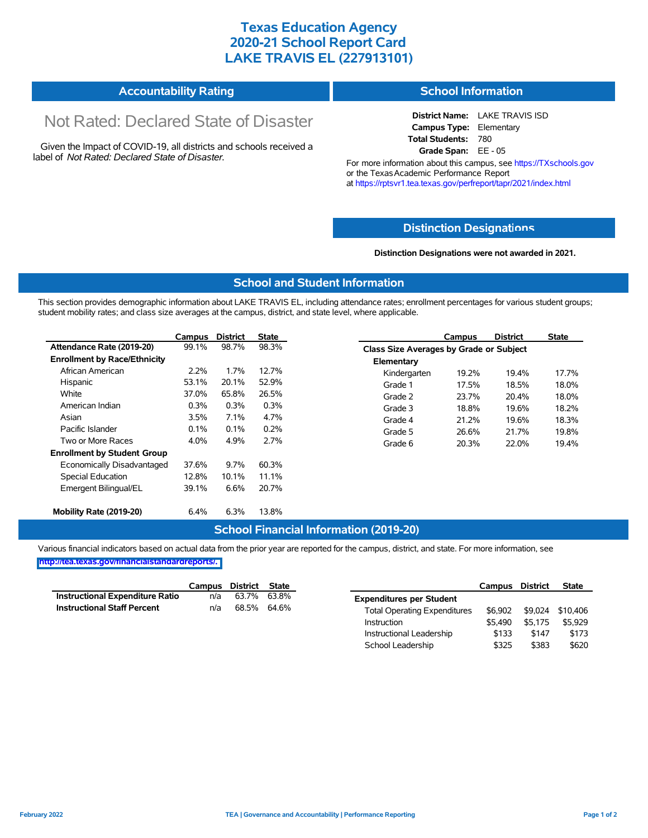# **Texas Education Agency 2020-21 School Report Card LAKE TRAVIS EL (227913101)**

#### **Accountability Rating School Information**

# Not Rated: Declared State of Disaster

Given the Impact of COVID-19, all districts and schools received a label of *Not Rated: Declared State of Disaster.*

**District Name:** LAKE TRAVIS ISD **Campus Type:** Elementary **Total Students:** 780 **Grade Span:** EE - 05

For more information about this campus, see https://TXschools.gov or the Texas Academic Performance Report at https://rptsvr1.tea.texas.gov/perfreport/tapr/2021/index.html

### **Distinction Designat[ions](https://TXschools.gov)**

**Distinction Designations were not awarded in 2021.**

School Leadership  $$325$  \$383 \$620

#### **School and Student Information**

This section provides demographic information about LAKE TRAVIS EL, including attendance rates; enrollment percentages for various student groups; student mobility rates; and class size averages at the campus, district, and state level, where applicable.

|                                     | Campus  | <b>District</b> | <b>State</b> |              | Campus                                  | <b>District</b> | <b>State</b> |  |  |  |
|-------------------------------------|---------|-----------------|--------------|--------------|-----------------------------------------|-----------------|--------------|--|--|--|
| Attendance Rate (2019-20)           | 99.1%   | 98.7%           | 98.3%        |              | Class Size Averages by Grade or Subject |                 |              |  |  |  |
| <b>Enrollment by Race/Ethnicity</b> |         |                 |              | Elementary   |                                         |                 |              |  |  |  |
| African American                    | 2.2%    | 1.7%            | 12.7%        | Kindergarten | 19.2%                                   | 19.4%           | 17.7%        |  |  |  |
| Hispanic                            | 53.1%   | 20.1%           | 52.9%        | Grade 1      | 17.5%                                   | 18.5%           | 18.0%        |  |  |  |
| White                               | 37.0%   | 65.8%           | 26.5%        | Grade 2      | 23.7%                                   | 20.4%           | 18.0%        |  |  |  |
| American Indian                     | 0.3%    | 0.3%            | 0.3%         | Grade 3      | 18.8%                                   | 19.6%           | 18.2%        |  |  |  |
| Asian                               | $3.5\%$ | 7.1%            | 4.7%         | Grade 4      | 21.2%                                   | 19.6%           | 18.3%        |  |  |  |
| Pacific Islander                    | 0.1%    | 0.1%            | 0.2%         | Grade 5      | 26.6%                                   | 21.7%           | 19.8%        |  |  |  |
| Two or More Races                   | 4.0%    | 4.9%            | 2.7%         | Grade 6      | 20.3%                                   | 22.0%           | 19.4%        |  |  |  |
| <b>Enrollment by Student Group</b>  |         |                 |              |              |                                         |                 |              |  |  |  |
| Economically Disadvantaged          | 37.6%   | 9.7%            | 60.3%        |              |                                         |                 |              |  |  |  |
| Special Education                   | 12.8%   | 10.1%           | 11.1%        |              |                                         |                 |              |  |  |  |
| Emergent Bilingual/EL               | 39.1%   | 6.6%            | 20.7%        |              |                                         |                 |              |  |  |  |
|                                     |         |                 |              |              |                                         |                 |              |  |  |  |
| Mobility Rate (2019-20)             | 6.4%    | 6.3%            | 13.8%        |              |                                         |                 |              |  |  |  |

#### **School Financial Information (2019-20)**

Various financial indicators based on actual data from the prior year are reported for the campus, district, and state. For more information, see

**[http://tea.texas.gov/financialstandardreports/.](http://tea.texas.gov/financialstandardreports/)**

|                                    | Campus | District | State |                                     | Campus  | <b>District</b> | <b>State</b> |
|------------------------------------|--------|----------|-------|-------------------------------------|---------|-----------------|--------------|
| Instructional Expenditure Ratio    | n/a    | 63.7%    | 63.8% | <b>Expenditures per Student</b>     |         |                 |              |
| <b>Instructional Staff Percent</b> | n/a    | 68.5%    | 64.6% | <b>Total Operating Expenditures</b> | \$6.902 | \$9.024         | \$10.406     |
|                                    |        |          |       | Instruction                         | \$5.490 | \$5.175         | \$5.929      |
|                                    |        |          |       | Instructional Leadership            | \$133   | \$147           | \$173        |